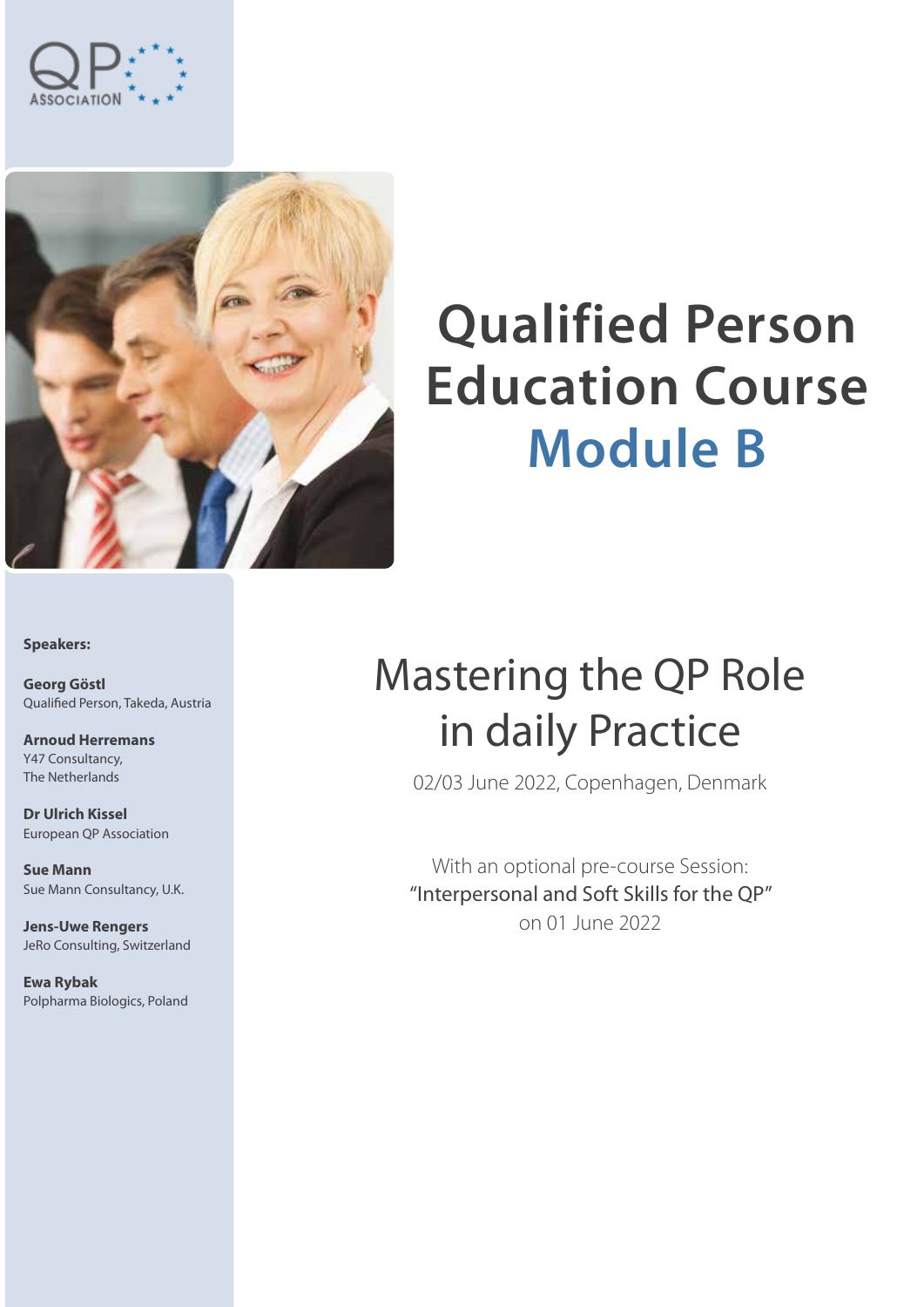



# **Qualified Person Education Course Module B**

**Speakers:**

**Georg Göstl** Qualified Person, Takeda, Austria

**Arnoud Herremans** Y47 Consultancy, The Netherlands

**Dr Ulrich Kissel** European QP Association

**Sue Mann** Sue Mann Consultancy, U.K.

**Jens-Uwe Rengers** JeRo Consulting, Switzerland

**Ewa Rybak** Polpharma Biologics, Poland

## Mastering the QP Role in daily Practice

02/03 June 2022, Copenhagen, Denmark

With an optional pre-course Session: "Interpersonal and Soft Skills for the QP" on 01 June 2022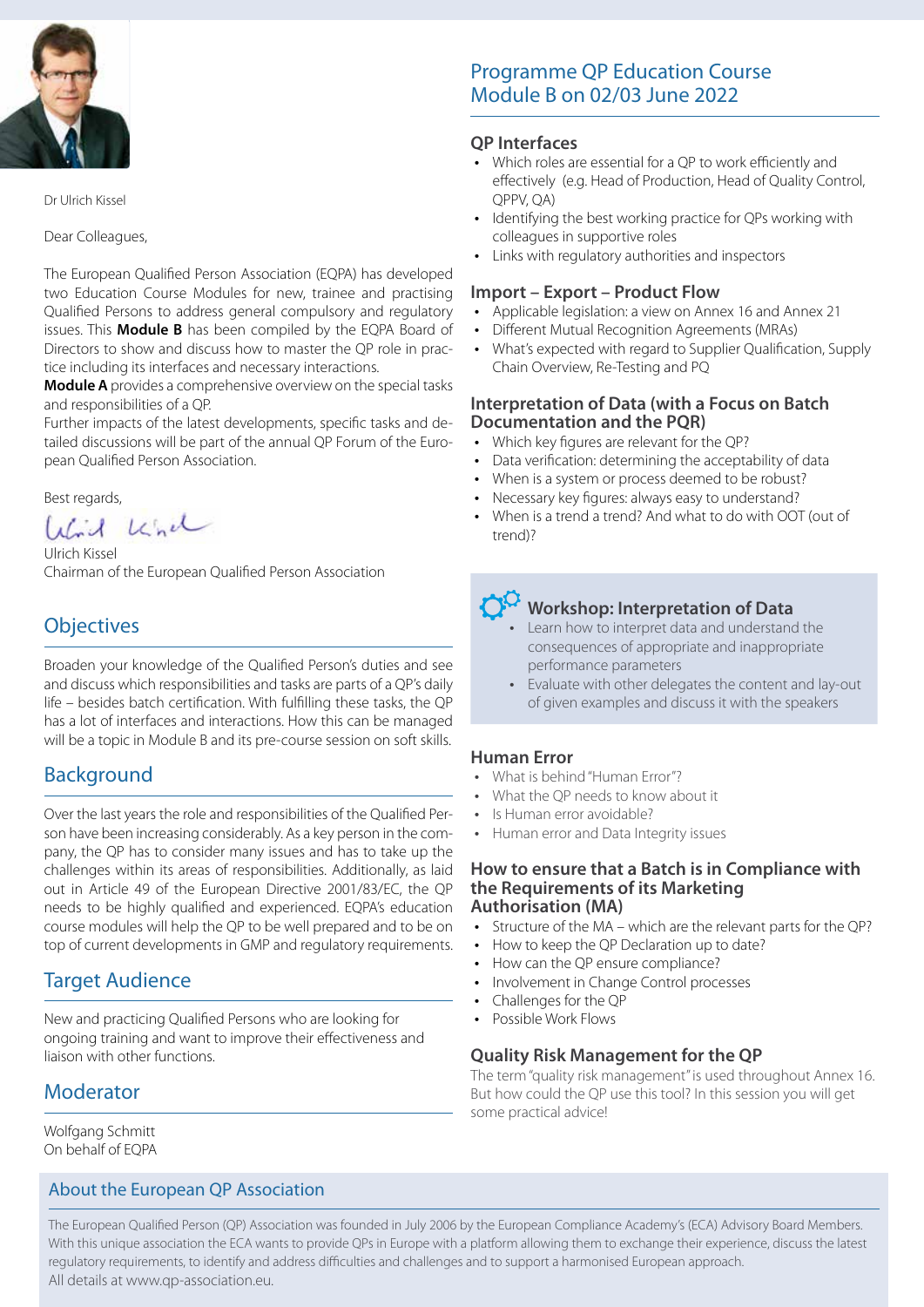

Dr Ulrich Kissel

Dear Colleagues,

The European Qualified Person Association (EQPA) has developed two Education Course Modules for new, trainee and practising Qualified Persons to address general compulsory and regulatory issues. This **Module B** has been compiled by the EQPA Board of Directors to show and discuss how to master the QP role in practice including its interfaces and necessary interactions.

**Module A** provides a comprehensive overview on the special tasks and responsibilities of a QP.

Further impacts of the latest developments, specific tasks and detailed discussions will be part of the annual QP Forum of the European Qualified Person Association.

Best regards,<br>*Unid* Leinel

Ulrich Kissel Chairman of the European Qualified Person Association

### **Objectives**

Broaden your knowledge of the Qualified Person's duties and see and discuss which responsibilities and tasks are parts of a QP's daily life – besides batch certification. With fulfilling these tasks, the QP has a lot of interfaces and interactions. How this can be managed will be a topic in Module B and its pre-course session on soft skills.

### Background

Over the last years the role and responsibilities of the Qualified Person have been increasing considerably. As a key person in the company, the QP has to consider many issues and has to take up the challenges within its areas of responsibilities. Additionally, as laid out in Article 49 of the European Directive 2001/83/EC, the QP needs to be highly qualified and experienced. EQPA's education course modules will help the QP to be well prepared and to be on top of current developments in GMP and regulatory requirements.

### Target Audience

New and practicing Qualified Persons who are looking for ongoing training and want to improve their effectiveness and liaison with other functions.

### Moderator

Wolfgang Schmitt On behalf of EQPA

### About the European QP Association

### Programme QP Education Course Module B on 02/03 June 2022

#### **QP Interfaces**

- Which roles are essential for a QP to work efficiently and effectively (e.g. Head of Production, Head of Quality Control, QPPV, QA)
- Identifying the best working practice for QPs working with colleagues in supportive roles
- Links with regulatory authorities and inspectors

### **Import – Export – Product Flow**

- Applicable legislation: a view on Annex 16 and Annex 21
- Different Mutual Recognition Agreements (MRAs)
- What's expected with regard to Supplier Qualification, Supply Chain Overview, Re-Testing and PQ

#### **Interpretation of Data (with a Focus on Batch Documentation and the PQR)**

- Which key figures are relevant for the QP?
- Data verification: determining the acceptability of data
- When is a system or process deemed to be robust?
- Necessary key figures: always easy to understand?
- When is a trend a trend? And what to do with OOT (out of trend)?

### **Workshop: Interpretation of Data**

- Learn how to interpret data and understand the consequences of appropriate and inappropriate performance parameters
- Evaluate with other delegates the content and lay-out of given examples and discuss it with the speakers

### **Human Error**

- What is behind "Human Error"?
- What the OP needs to know about it
- Is Human error avoidable?
- Human error and Data Integrity issues

#### **How to ensure that a Batch is in Compliance with the Requirements of its Marketing Authorisation (MA)**

- Structure of the MA which are the relevant parts for the QP?
- How to keep the OP Declaration up to date?
- How can the OP ensure compliance?
- Involvement in Change Control processes
- Challenges for the OP
- Possible Work Flows

### **Quality Risk Management for the QP**

The term "quality risk management" is used throughout Annex 16. But how could the QP use this tool? In this session you will get some practical advice!

The European Qualified Person (QP) Association was founded in July 2006 by the European Compliance Academy's (ECA) Advisory Board Members. With this unique association the ECA wants to provide QPs in Europe with a platform allowing them to exchange their experience, discuss the latest regulatory requirements, to identify and address difficulties and challenges and to support a harmonised European approach. All details at www.qp-association.eu.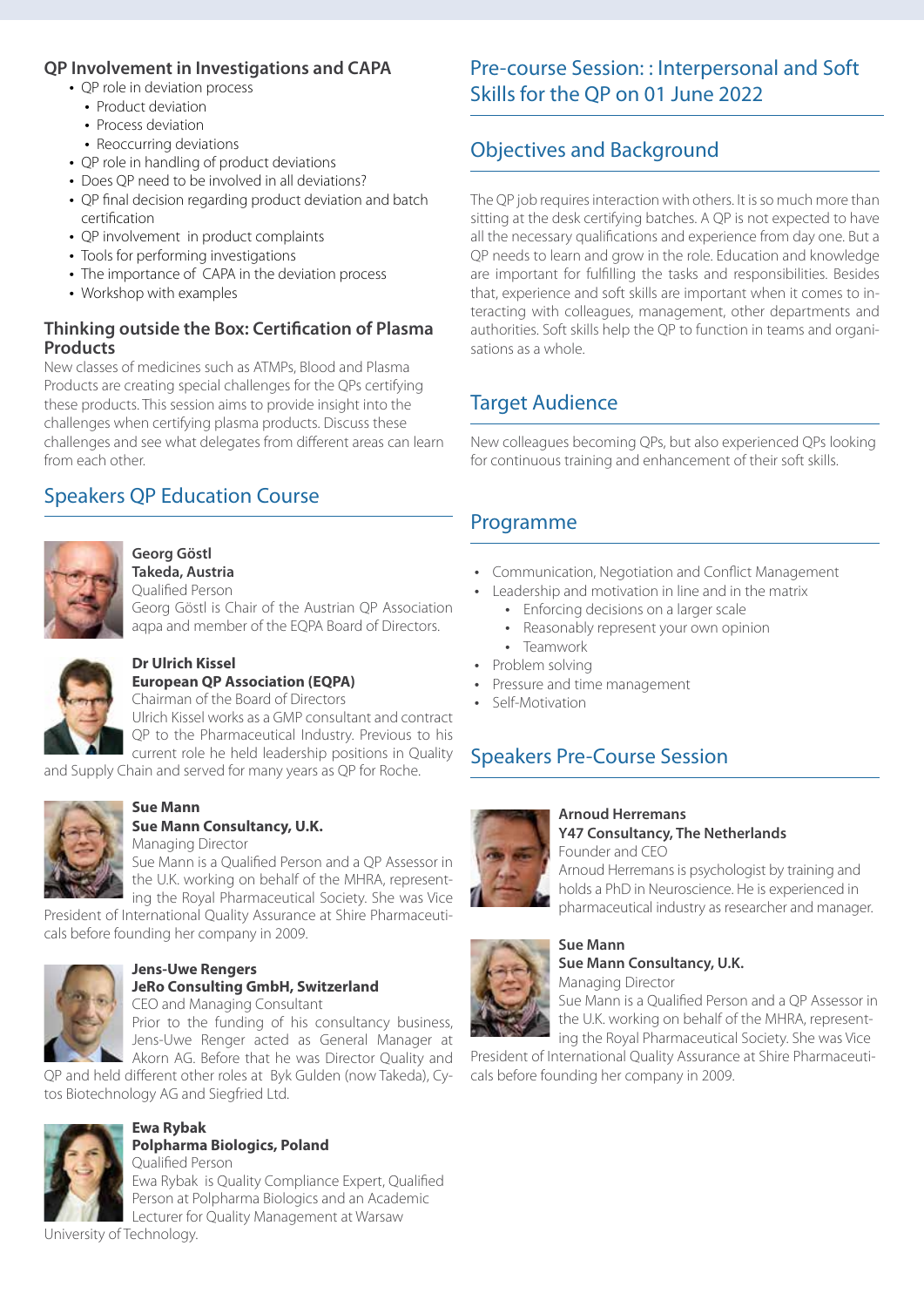### **QP Involvement in Investigations and CAPA**

- OP role in deviation process
	- Product deviation
	- Process deviation
	- Reoccurring deviations
- QP role in handling of product deviations
- Does OP need to be involved in all deviations?
- QP final decision regarding product deviation and batch certification
- QP involvement in product complaints
- Tools for performing investigations
- The importance of CAPA in the deviation process
- Workshop with examples

### **Thinking outside the Box: Certification of Plasma Products**

New classes of medicines such as ATMPs, Blood and Plasma Products are creating special challenges for the QPs certifying these products. This session aims to provide insight into the challenges when certifying plasma products. Discuss these challenges and see what delegates from different areas can learn from each other.

### Speakers QP Education Course



#### **Georg Göstl Takeda, Austria**

Qualified Person

Georg Göstl is Chair of the Austrian QP Association aqpa and member of the EQPA Board of Directors.



## **Dr Ulrich Kissel**

**European QP Association (EQPA)** Chairman of the Board of Directors

Ulrich Kissel works as a GMP consultant and contract

QP to the Pharmaceutical Industry. Previous to his current role he held leadership positions in Quality

and Supply Chain and served for many years as QP for Roche.



#### **Sue Mann Sue Mann Consultancy, U.K.**

Managing Director Sue Mann is a Qualified Person and a QP Assessor in the U.K. working on behalf of the MHRA, representing the Royal Pharmaceutical Society. She was Vice

President of International Quality Assurance at Shire Pharmaceuticals before founding her company in 2009.



### **Jens-Uwe Rengers JeRo Consulting GmbH, Switzerland**

CEO and Managing Consultant

Prior to the funding of his consultancy business, Jens-Uwe Renger acted as General Manager at Akorn AG. Before that he was Director Quality and

QP and held different other roles at Byk Gulden (now Takeda), Cytos Biotechnology AG and Siegfried Ltd.



#### **Ewa Rybak Polpharma Biologics, Poland**

Qualified Person Ewa Rybak is Quality Compliance Expert, Qualified Person at Polpharma Biologics and an Academic Lecturer for Quality Management at Warsaw

University of Technology.

### Pre-course Session: : Interpersonal and Soft Skills for the QP on 01 June 2022

### Objectives and Background

The QP job requires interaction with others. It is so much more than sitting at the desk certifying batches. A QP is not expected to have all the necessary qualifications and experience from day one. But a QP needs to learn and grow in the role. Education and knowledge are important for fulfilling the tasks and responsibilities. Besides that, experience and soft skills are important when it comes to interacting with colleagues, management, other departments and authorities. Soft skills help the QP to function in teams and organisations as a whole.

### Target Audience

New colleagues becoming QPs, but also experienced QPs looking for continuous training and enhancement of their soft skills.

### Programme

- Communication, Negotiation and Conflict Management
- Leadership and motivation in line and in the matrix
	- Enforcing decisions on a larger scale
	- Reasonably represent your own opinion
	- Teamwork
- Problem solving
- Pressure and time management
- Self-Motivation

### Speakers Pre-Course Session



#### **Arnoud Herremans Y47 Consultancy, The Netherlands** Founder and CEO

Arnoud Herremans is psychologist by training and holds a PhD in Neuroscience. He is experienced in pharmaceutical industry as researcher and manager.



#### **Sue Mann Sue Mann Consultancy, U.K.**

Managing Director

Sue Mann is a Qualified Person and a QP Assessor in the U.K. working on behalf of the MHRA, representing the Royal Pharmaceutical Society. She was Vice

President of International Quality Assurance at Shire Pharmaceuticals before founding her company in 2009.